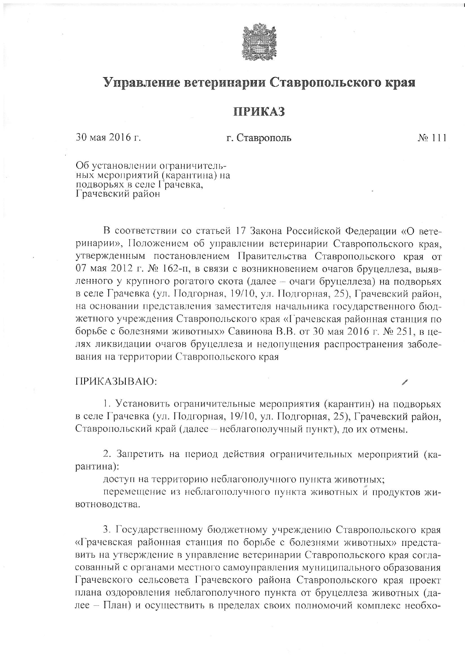

## Управление ветеринарии Ставропольского края

## **ПРИКАЗ**

30 мая 2016 г.

## г. Ставрополь

 $N_2$  111

Об установлении ограничительных мероприятий (карантина) на Грачевский район

В соответствии со статьей 17 Закона Российской Федерации «О ветеринарии», Положением об управлении ветеринарии Ставропольского края, утвержденным постановлением Правительства Ставропольского края от 07 мая 2012 г. № 162-п, в связи с возникновением очагов бруцеллеза, выявленного у крупного рогатого скота (далее - очаги бруцеллеза) на подворьях в селе Грачевка (ул. Подгорная, 19/10, ул. Подгорная, 25), Грачевский район, на основании представления заместителя начальника государственного бюджетного учреждения Ставропольского края «Грачевская районная станция по борьбе с болезнями животных» Савинова В.В. от 30 мая 2016 г. № 251, в целях ликвидации очагов бруцеллеза и недопущения распространения заболевания на территории Ставропольского края

## ПРИКАЗЫВАЮ:

1. Установить ограничительные мероприятия (карантин) на подворьях в селе Грачевка (ул. Подгорная, 19/10, ул. Подгорная, 25), Грачевский район, Ставропольский край (далее - неблагополучный пункт), до их отмены.

2. Запретить на период действия ограничительных мероприятий (карантина):

доступ на территорию неблагополучного пункта животных;

перемещение из неблагополучного пункта животных и продуктов животноводства.

3. Государственному бюджетному учреждению Ставропольского края «Грачевская районная станция по борьбе с болезнями животных» представить на утверждение в управление ветеринарии Ставропольского края согласованный с органами местного самоуправления муниципального образования Грачевского сельсовета Грачевского района Ставропольского края проект плана оздоровления неблагополучного пункта от бруцеллеза животных (далее - План) и осуществить в пределах своих полномочий комплекс необхо